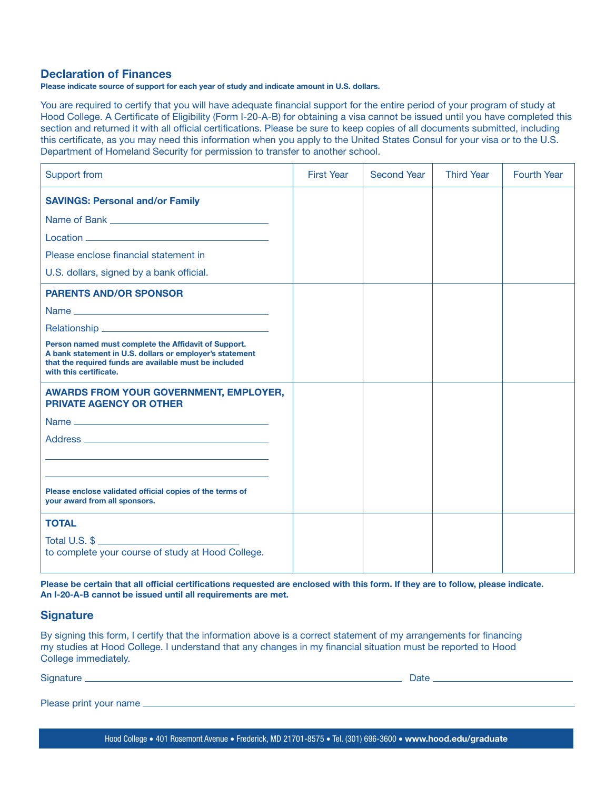## Declaration of Finances

Please indicate source of support for each year of study and indicate amount in U.S. dollars.

You are required to certify that you will have adequate financial support for the entire period of your program of study at Hood College. A Certificate of Eligibility (Form I-20-A-B) for obtaining a visa cannot be issued until you have completed this section and returned it with all official certifications. Please be sure to keep copies of all documents submitted, including this certificate, as you may need this information when you apply to the United States Consul for your visa or to the U.S. Department of Homeland Security for permission to transfer to another school.

| <b>Support from</b>                                                                                                                                                                                  | <b>First Year</b> | <b>Second Year</b> | <b>Third Year</b> | <b>Fourth Year</b> |
|------------------------------------------------------------------------------------------------------------------------------------------------------------------------------------------------------|-------------------|--------------------|-------------------|--------------------|
| <b>SAVINGS: Personal and/or Family</b>                                                                                                                                                               |                   |                    |                   |                    |
|                                                                                                                                                                                                      |                   |                    |                   |                    |
|                                                                                                                                                                                                      |                   |                    |                   |                    |
| Please enclose financial statement in                                                                                                                                                                |                   |                    |                   |                    |
| U.S. dollars, signed by a bank official.                                                                                                                                                             |                   |                    |                   |                    |
| <b>PARENTS AND/OR SPONSOR</b>                                                                                                                                                                        |                   |                    |                   |                    |
|                                                                                                                                                                                                      |                   |                    |                   |                    |
|                                                                                                                                                                                                      |                   |                    |                   |                    |
| Person named must complete the Affidavit of Support.<br>A bank statement in U.S. dollars or employer's statement<br>that the required funds are available must be included<br>with this certificate. |                   |                    |                   |                    |
| <b>AWARDS FROM YOUR GOVERNMENT, EMPLOYER,</b><br><b>PRIVATE AGENCY OR OTHER</b>                                                                                                                      |                   |                    |                   |                    |
|                                                                                                                                                                                                      |                   |                    |                   |                    |
|                                                                                                                                                                                                      |                   |                    |                   |                    |
|                                                                                                                                                                                                      |                   |                    |                   |                    |
|                                                                                                                                                                                                      |                   |                    |                   |                    |
| Please enclose validated official copies of the terms of<br>your award from all sponsors.                                                                                                            |                   |                    |                   |                    |
| <b>TOTAL</b>                                                                                                                                                                                         |                   |                    |                   |                    |
| Total U.S. \$<br>to complete your course of study at Hood College.                                                                                                                                   |                   |                    |                   |                    |
|                                                                                                                                                                                                      |                   |                    |                   |                    |

Please be certain that all official certifications requested are enclosed with this form. If they are to follow, please indicate. An I-20-A-B cannot be issued until all requirements are met.

## **Signature**

By signing this form, I certify that the information above is a correct statement of my arrangements for financing my studies at Hood College. I understand that any changes in my financial situation must be reported to Hood College immediately.

| Signature                 | Datı |
|---------------------------|------|
|                           |      |
| Please print your name __ |      |

Hood College • 401 Rosemont Avenue • Frederick, MD 21701-8575 • Tel. (301) 696-3600 • www.hood.edu/graduate